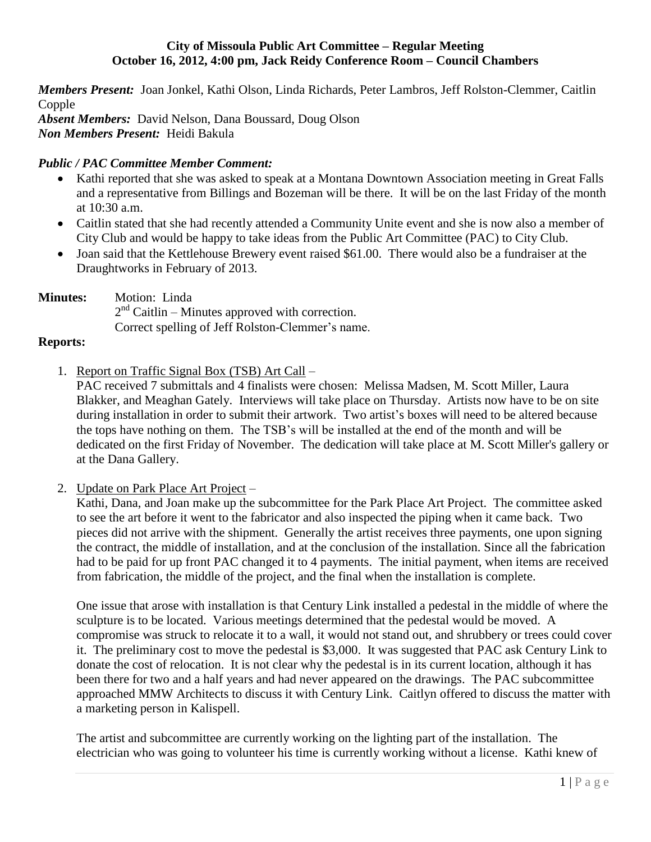### **City of Missoula Public Art Committee – Regular Meeting October 16, 2012, 4:00 pm, Jack Reidy Conference Room – Council Chambers**

*Members Present:* Joan Jonkel, Kathi Olson, Linda Richards, Peter Lambros, Jeff Rolston-Clemmer, Caitlin Copple *Absent Members:* David Nelson, Dana Boussard, Doug Olson *Non Members Present:* Heidi Bakula

# *Public / PAC Committee Member Comment:*

- Kathi reported that she was asked to speak at a Montana Downtown Association meeting in Great Falls and a representative from Billings and Bozeman will be there. It will be on the last Friday of the month at 10:30 a.m.
- Caitlin stated that she had recently attended a Community Unite event and she is now also a member of City Club and would be happy to take ideas from the Public Art Committee (PAC) to City Club.
- Joan said that the Kettlehouse Brewery event raised \$61.00. There would also be a fundraiser at the Draughtworks in February of 2013.

**Minutes:** Motion: Linda  $2<sup>nd</sup>$  Caitlin – Minutes approved with correction. Correct spelling of Jeff Rolston-Clemmer's name.

### **Reports:**

1. Report on Traffic Signal Box (TSB) Art Call –

PAC received 7 submittals and 4 finalists were chosen: Melissa Madsen, M. Scott Miller, Laura Blakker, and Meaghan Gately. Interviews will take place on Thursday. Artists now have to be on site during installation in order to submit their artwork. Two artist's boxes will need to be altered because the tops have nothing on them. The TSB's will be installed at the end of the month and will be dedicated on the first Friday of November. The dedication will take place at M. Scott Miller's gallery or at the Dana Gallery.

2. Update on Park Place Art Project –

Kathi, Dana, and Joan make up the subcommittee for the Park Place Art Project. The committee asked to see the art before it went to the fabricator and also inspected the piping when it came back. Two pieces did not arrive with the shipment. Generally the artist receives three payments, one upon signing the contract, the middle of installation, and at the conclusion of the installation. Since all the fabrication had to be paid for up front PAC changed it to 4 payments. The initial payment, when items are received from fabrication, the middle of the project, and the final when the installation is complete.

One issue that arose with installation is that Century Link installed a pedestal in the middle of where the sculpture is to be located. Various meetings determined that the pedestal would be moved. A compromise was struck to relocate it to a wall, it would not stand out, and shrubbery or trees could cover it. The preliminary cost to move the pedestal is \$3,000. It was suggested that PAC ask Century Link to donate the cost of relocation. It is not clear why the pedestal is in its current location, although it has been there for two and a half years and had never appeared on the drawings. The PAC subcommittee approached MMW Architects to discuss it with Century Link. Caitlyn offered to discuss the matter with a marketing person in Kalispell.

The artist and subcommittee are currently working on the lighting part of the installation. The electrician who was going to volunteer his time is currently working without a license. Kathi knew of